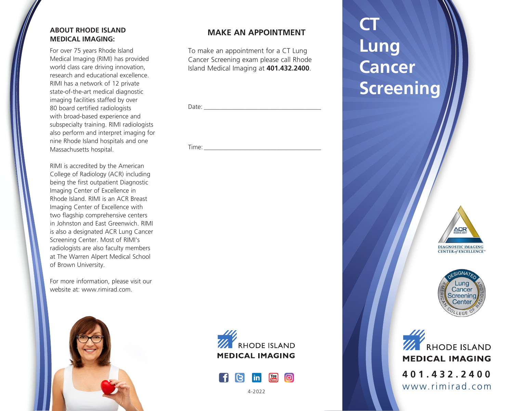#### **ABOUT RHODE ISLAND MEDICAL IMAGING:**

For over 75 years Rhode Island Medical Imaging (RIMI) has provided world class care driving innovation, research and educational excellence. RIMI has a network of 12 private state-of-the-art medical diagnostic imaging facilities staffed by over 80 board certified radiologists with broad-based experience and subspecialty training. RIMI radiologists also perform and interpret imaging for nine Rhode Island hospitals and one Massachusetts hospital.

RIMI is accredited by the American College of Radiology (ACR) including being the first outpatient Diagnostic Imaging Center of Excellence in Rhode Island. RIMI is an ACR Breast Imaging Center of Excellence with two flagship comprehensive centers in Johnston and East Greenwich. RIMI is also a designated ACR Lung Cancer Screening Center. Most of RIMI's radiologists are also faculty members at The Warren Alpert Medical School of Brown University.

For more information, please visit our website at: www.rimirad.com.



#### **MAKE AN APPOINTMENT**

To make an appointment for a CT Lung Cancer Screening exam please call Rhode Island Medical Imaging at **401.432.2400**.

| $D \rightarrow +\infty$<br>◡ |  |
|------------------------------|--|
|                              |  |

 $Time:$ 

**CT Lung Cancer Screening**







**THE RHODE ISLAND MEDICAL IMAGING** 



4-2022